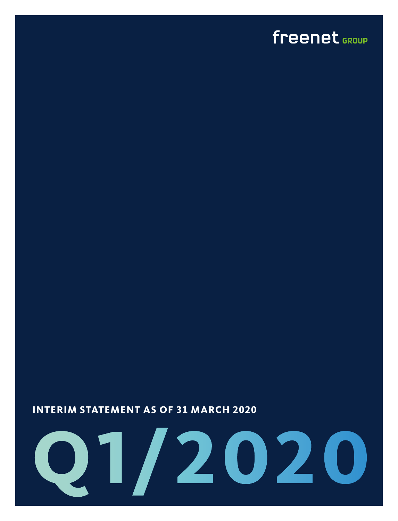### <span id="page-0-0"></span>freenet GROUP

#### **INTERIM STATEMENT AS OF 31 MARCH 2020**

# **Q1/2020**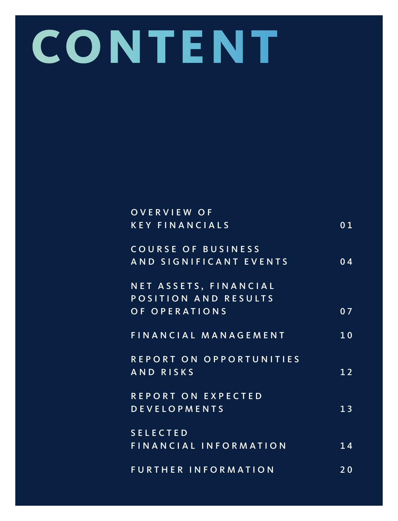# **CONTENT**

| <b>OVERVIEW OF</b>         |                 |
|----------------------------|-----------------|
| <b>KEY FINANCIALS</b>      | 01              |
| COURSE OF BUSINESS         |                 |
| AND SIGNIFICANT EVENTS     | 04              |
|                            |                 |
| NET ASSETS, FINANCIAL      |                 |
| POSITION AND RESULTS       |                 |
| OF OPERATIONS              | 07              |
| FINANCIAL MANAGEMENT       | 10              |
|                            |                 |
| REPORT ON OPPORTUNITIES    |                 |
| AND RISKS                  | 12              |
| REPORT ON EXPECTED         |                 |
| <b>DEVELOPMENTS</b>        | $\overline{13}$ |
|                            |                 |
| <b>SELECTED</b>            |                 |
| FINANCIAL INFORMATION      | 14              |
|                            |                 |
| <b>FURTHER INFORMATION</b> | 20              |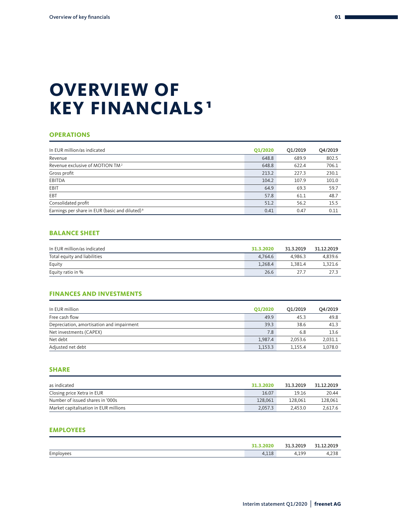### <span id="page-2-0"></span>**OVERVIEW OF KEY FINANCIALS 1**

#### **OPERATIONS**

| In EUR million/as indicated                                | <b>Q1/2020</b> | Q1/2019 | Q4/2019 |
|------------------------------------------------------------|----------------|---------|---------|
| Revenue                                                    | 648.8          | 689.9   | 802.5   |
| Revenue exclusive of MOTION TM <sup>2</sup>                | 648.8          | 622.4   | 706.1   |
| Gross profit                                               | 213.2          | 227.3   | 230.1   |
| EBITDA                                                     | 104.2          | 107.9   | 101.0   |
| EBIT                                                       | 64.9           | 69.3    | 59.7    |
| EBT                                                        | 57.8           | 61.1    | 48.7    |
| Consolidated profit                                        | 51.2           | 56.2    | 15.5    |
| Earnings per share in EUR (basic and diluted) <sup>3</sup> | 0.41           | 0.47    | 0.11    |

#### **BALANCE SHEET**

| In EUR million/as indicated  | 31.3.2020 | 31.3.2019 | 31.12.2019 |
|------------------------------|-----------|-----------|------------|
| Total equity and liabilities | 4.764.6   | 4.986.3   | 4.839.6    |
| Equity                       | 1.268.4   | 1.381.4   | 1.321.6    |
| Equity ratio in %            | 26.6      | 27.7      | 27.3       |

#### **FINANCES AND INVESTMENTS**

| In EUR million                            | Q1/2020 | O1/2019 | Q4/2019 |
|-------------------------------------------|---------|---------|---------|
| Free cash flow                            | 49.9    | 45.3    | 49.8    |
| Depreciation, amortisation and impairment | 39.3    | 38.6    | 41.3    |
| Net investments (CAPEX)                   | 7.8     | 6.8     | 13.6    |
| Net debt                                  | 1.987.4 | 2.053.6 | 2.031.1 |
| Adjusted net debt                         | 1,153.3 | 1.155.4 | 1.078.0 |

#### **SHARE**

| as indicated                          | 31.3.2020 | 31.3.2019 | 31.12.2019 |
|---------------------------------------|-----------|-----------|------------|
| Closing price Xetra in EUR            | 16.07     | 19.16     | 20.44      |
| Number of issued shares in '000s      | 128,061   | 128.061   | 128,061    |
| Market capitalisation in EUR millions | 2.057.3   | 2.453.0   | 2.617.6    |

#### **EMPLOYEES**

|           | 3.2020       | 31.3.2019    | 2.2019<br><b>01</b> |
|-----------|--------------|--------------|---------------------|
| Employees | 110<br>+,⊥⊥o | 100<br>+,⊥ノノ | 4,238               |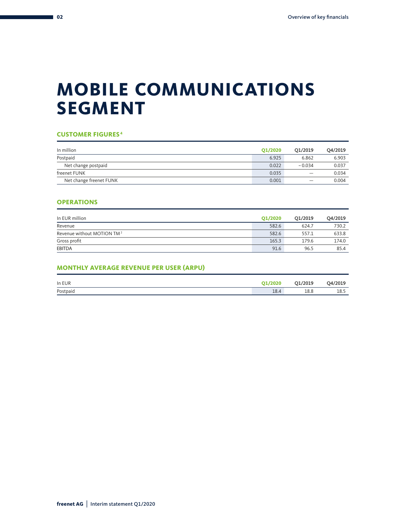### **MOBILE COMMUNICATIONS SEGMENT**

#### **CUSTOMER FIGURES <sup>4</sup>**

| In million              | O1/2020 | O1/2019  | Q4/2019 |
|-------------------------|---------|----------|---------|
| Postpaid                | 6.925   | 6.862    | 6.903   |
| Net change postpaid     | 0.022   | $-0.034$ | 0.037   |
| freenet FUNK            | 0.035   |          | 0.034   |
| Net change freenet FUNK | 0.001   |          | 0.004   |

#### **OPERATIONS**

| In EUR million                         | <b>Q1/2020</b> | O1/2019 | Q4/2019 |
|----------------------------------------|----------------|---------|---------|
| Revenue                                | 582.6          | 624.7   | 730.2   |
| Revenue without MOTION TM <sup>2</sup> | 582.6          | 557.1   | 633.8   |
| Gross profit                           | 165.3          | 179.6   | 174.0   |
| <b>EBITDA</b>                          | 91.6           | 96.5    | 85.4    |

#### **MONTHLY AVERAGE REVENUE PER USER (ARPU)**

| In EUR   | <b>Q1/2020</b> | Q1/2019 | Q4/2019 |
|----------|----------------|---------|---------|
| Postpaid | 18.4           | 18.8    | 18.5    |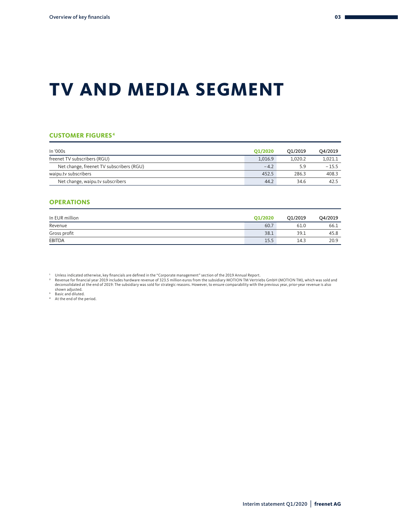### **TV AND MEDIA SEGMENT**

#### **CUSTOMER FIGURES <sup>4</sup>**

| In '000s                                 | O1/2020 | O1/2019 | O4/2019 |
|------------------------------------------|---------|---------|---------|
| freenet TV subscribers (RGU)             | 1.016.9 | 1.020.2 | 1.021.1 |
| Net change, freenet TV subscribers (RGU) | $-4.2$  | 5.9     | $-15.5$ |
| waipu.tv subscribers                     | 452.5   | 286.3   | 408.3   |
| Net change, waipu.tv subscribers         | 44.2    | 34.6    | 42.5    |

#### **OPERATIONS**

| In EUR million | O1/2020 | O1/2019 | Q4/2019 |
|----------------|---------|---------|---------|
| Revenue        | 60.7    | 61.0    | 66.1    |
| Gross profit   | 38.1    | 39.1    | 45.8    |
| <b>EBITDA</b>  | 15.5    | 14.3    | 20.9    |

' Unless indicated otherwise, key financials are defined in the "Corporate management" section of the 2019 Annual Report.<br>\* Revenue for financial year 2019 includes hardware revenue of 323.5 million euros from the subsidia shown adjusted. 3 Basic and diluted. 4 At the end of the period.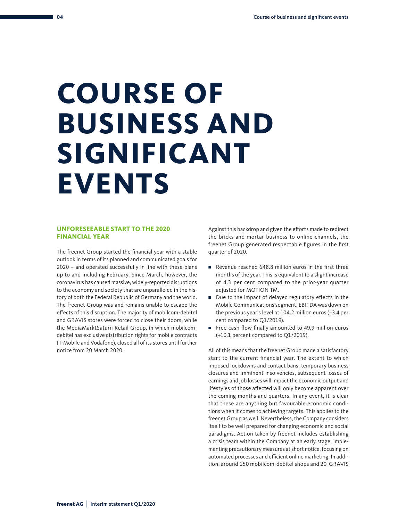# <span id="page-5-0"></span>**COURSE OF BUSINESS AND SIGNIFICANT EVENTS**

#### **UNFORESEEABLE START TO THE 2020 FINANCIAL YEAR**

The freenet Group started the financial year with a stable outlook in terms of its planned and communicated goals for 2020 – and operated successfully in line with these plans up to and including February. Since March, however, the coronavirus has caused massive, widely-reported disruptions to the economy and society that are unparalleled in the history of both the Federal Republic of Germany and the world. The freenet Group was and remains unable to escape the effects of this disruption. The majority of mobilcom-debitel and GRAVIS stores were forced to close their doors, while the MediaMarktSaturn Retail Group, in which mobilcomdebitel has exclusive distribution rights for mobile contracts (T-Mobile and Vodafone), closed all of its stores until further notice from 20 March 2020.

Against this backdrop and given the efforts made to redirect the bricks-and-mortar business to online channels, the freenet Group generated respectable figures in the first quarter of 2020.

- Revenue reached 648.8 million euros in the first three months of the year. This is equivalent to a slight increase of 4.3 per cent compared to the prior-year quarter adjusted for MOTION TM.
- Due to the impact of delayed regulatory effects in the Mobile Communications segment, EBITDA was down on the previous year's level at 104.2 million euros (–3.4 per cent compared to Q1/2019).
- Free cash flow finally amounted to 49.9 million euros (+10.1 percent compared to Q1/2019).

All of this means that the freenet Group made a satisfactory start to the current financial year. The extent to which imposed lockdowns and contact bans, temporary business closures and imminent insolvencies, subsequent losses of earnings and job losses will impact the economic output and lifestyles of those affected will only become apparent over the coming months and quarters. In any event, it is clear that these are anything but favourable economic conditions when it comes to achieving targets. This applies to the freenet Group as well. Nevertheless, the Company considers itself to be well prepared for changing economic and social paradigms. Action taken by freenet includes establishing a crisis team within the Company at an early stage, implementing precautionary measures at short notice, focusing on automated processes and efficient online marketing. In addition, around 150 mobilcom-debitel shops and 20 GRAVIS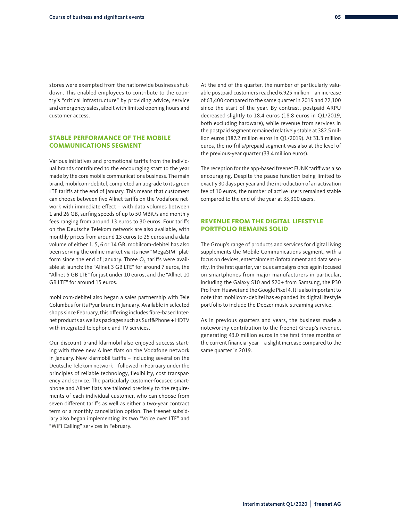stores were exempted from the nationwide business shutdown. This enabled employees to contribute to the country's "critical infrastructure" by providing advice, service and emergency sales, albeit with limited opening hours and customer access.

#### **STABLE PERFORMANCE OF THE MOBILE COMMUNICATIONS SEGMENT**

Various initiatives and promotional tariffs from the individual brands contributed to the encouraging start to the year made by the core mobile communications business. The main brand, mobilcom-debitel, completed an upgrade to its green LTE tariffs at the end of January. This means that customers can choose between five Allnet tariffs on the Vodafone network with immediate effect – with data volumes between 1 and 26 GB, surfing speeds of up to 50 MBit/s and monthly fees ranging from around 13 euros to 30 euros. Four tariffs on the Deutsche Telekom network are also available, with monthly prices from around 13 euros to 25 euros and a data volume of either 1, 5, 6 or 14 GB. mobilcom-debitel has also been serving the online market via its new "MegaSIM" platform since the end of January. Three  $O<sub>2</sub>$  tariffs were available at launch: the "Allnet 3 GB LTE" for around 7 euros, the "Allnet 5 GB LTE" for just under 10 euros, and the "Allnet 10 GB LTE" for around 15 euros.

mobilcom-debitel also began a sales partnership with Tele Columbus for its Pyur brand in January. Available in selected shops since February, this offering includes fibre-based Internet products as well as packages such as Surf&Phone + HDTV with integrated telephone and TV services.

Our discount brand klarmobil also enjoyed success starting with three new Allnet flats on the Vodafone network in January. New klarmobil tariffs – including several on the Deutsche Telekom network – followed in February under the principles of reliable technology, flexibility, cost transparency and service. The particularly customer-focused smartphone and Allnet flats are tailored precisely to the requirements of each individual customer, who can choose from seven different tariffs as well as either a two-year contract term or a monthly cancellation option. The freenet subsidiary also began implementing its two "Voice over LTE" and "WiFi Calling" services in February.

At the end of the quarter, the number of particularly valuable postpaid customers reached 6.925 million – an increase of 63,400 compared to the same quarter in 2019 and 22,100 since the start of the year. By contrast, postpaid ARPU decreased slightly to 18.4 euros (18.8 euros in Q1/2019, both excluding hardware), while revenue from services in the postpaid segment remained relatively stable at 382.5 million euros (387.2 million euros in Q1/2019). At 31.3 million euros, the no-frills/prepaid segment was also at the level of the previous-year quarter (33.4 million euros).

The reception for the app-based freenet FUNK tariff was also encouraging. Despite the pause function being limited to exactly 30 days per year and the introduction of an activation fee of 10 euros, the number of active users remained stable compared to the end of the year at 35,300 users.

#### **REVENUE FROM THE DIGITAL LIFESTYLE PORTFOLIO REMAINS SOLID**

The Group's range of products and services for digital living supplements the Mobile Communications segment, with a focus on devices, entertainment/infotainment and data security. In the first quarter, various campaigns once again focused on smartphones from major manufacturers in particular, including the Galaxy S10 and S20+ from Samsung, the P30 Pro from Huawei and the Google Pixel 4. It is also important to note that mobilcom-debitel has expanded its digital lifestyle portfolio to include the Deezer music streaming service.

As in previous quarters and years, the business made a noteworthy contribution to the freenet Group's revenue, generating 43.0 million euros in the first three months of the current financial year – a slight increase compared to the same quarter in 2019.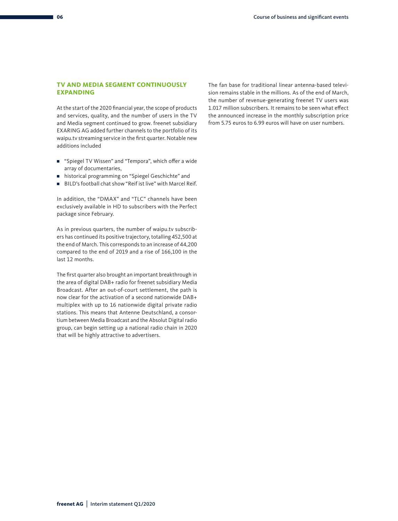#### <span id="page-7-0"></span>**TV AND MEDIA SEGMENT CONTINUOUSLY EXPANDING**

At the start of the 2020 financial year, the scope of products and services, quality, and the number of users in the TV and Media segment continued to grow. freenet subsidiary EXARING AG added further channels to the portfolio of its waipu.tv streaming service in the first quarter. Notable new additions included

- "Spiegel TV Wissen" and "Tempora", which offer a wide array of documentaries,
- historical programming on "Spiegel Geschichte" and
- BILD's football chat show "Reif ist live" with Marcel Reif.

In addition, the "DMAX" and "TLC" channels have been exclusively available in HD to subscribers with the Perfect package since February.

As in previous quarters, the number of waipu.tv subscribers has continued its positive trajectory, totalling 452,500 at the end of March. This corresponds to an increase of 44,200 compared to the end of 2019 and a rise of 166,100 in the last 12 months.

The first quarter also brought an important breakthrough in the area of digital DAB+ radio for freenet subsidiary Media Broadcast. After an out-of-court settlement, the path is now clear for the activation of a second nationwide DAB+ multiplex with up to 16 nationwide digital private radio stations. This means that Antenne Deutschland, a consortium between Media Broadcast and the Absolut Digital radio group, can begin setting up a national radio chain in 2020 that will be highly attractive to advertisers.

The fan base for traditional linear antenna-based television remains stable in the millions. As of the end of March, the number of revenue-generating freenet TV users was 1.017 million subscribers. It remains to be seen what effect the announced increase in the monthly subscription price from 5.75 euros to 6.99 euros will have on user numbers.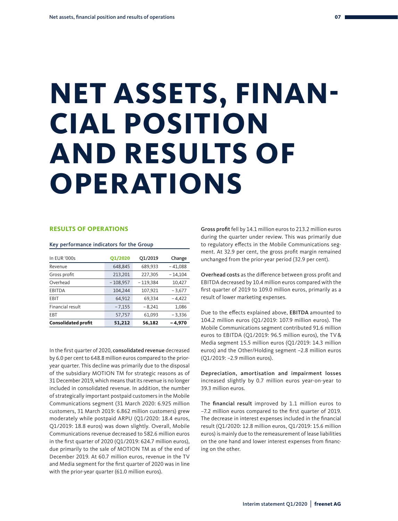# **NET ASSETS, FINAN-CIAL POSITION AND RESULTS OF OPERATIONS**

#### **RESULTS OF OPERATIONS**

#### Key performance indicators for the Group

| In EUR '000s               | <b>Q1/2020</b> | Q1/2019    | Change    |
|----------------------------|----------------|------------|-----------|
| Revenue                    | 648.845        | 689,933    | $-41,088$ |
| Gross profit               | 213,201        | 227,305    | $-14.104$ |
| Overhead                   | $-108,957$     | $-119,384$ | 10,427    |
| EBITDA                     | 104,244        | 107,921    | $-3,677$  |
| EBIT                       | 64,912         | 69,334     | $-4,422$  |
| Financial result           | $-7,155$       | $-8.241$   | 1,086     |
| EBT                        | 57,757         | 61,093     | $-3,336$  |
| <b>Consolidated profit</b> | 51,212         | 56,182     | -4,970    |

In the first quarter of 2020, consolidated revenue decreased by 6.0 per cent to 648.8 million euros compared to the prioryear quarter. This decline was primarily due to the disposal of the subsidiary MOTION TM for strategic reasons as of 31 December 2019, which means that its revenue is no longer included in consolidated revenue. In addition, the number of strategically important postpaid customers in the Mobile Communications segment (31 March 2020: 6.925 million customers, 31 March 2019: 6.862 million customers) grew moderately while postpaid ARPU (Q1/2020: 18.4 euros, Q1/2019: 18.8 euros) was down slightly. Overall, Mobile Communications revenue decreased to 582.6 million euros in the first quarter of 2020 (Q1/2019: 624.7 million euros), due primarily to the sale of MOTION TM as of the end of December 2019. At 60.7 million euros, revenue in the TV and Media segment for the first quarter of 2020 was in line with the prior-year quarter (61.0 million euros).

Gross profit fell by 14.1 million euros to 213.2 million euros during the quarter under review. This was primarily due to regulatory effects in the Mobile Communications segment. At 32.9 per cent, the gross profit margin remained unchanged from the prior-year period (32.9 per cent).

Overhead costs as the difference between gross profit and EBITDA decreased by 10.4 million euros compared with the first quarter of 2019 to 109.0 million euros, primarily as a result of lower marketing expenses.

Due to the effects explained above, EBITDA amounted to 104.2 million euros (Q1/2019: 107.9 million euros). The Mobile Communications segment contributed 91.6 million euros to EBITDA (Q1/2019: 96.5 million euros), the TV& Media segment 15.5 million euros (Q1/2019: 14.3 million euros) and the Other/Holding segment –2.8 million euros (Q1/2019: –2.9 million euros).

Depreciation, amortisation and impairment losses increased slightly by 0.7 million euros year-on-year to 39.3 million euros.

The financial result improved by 1.1 million euros to –7.2 million euros compared to the first quarter of 2019. The decrease in interest expenses included in the financial result (Q1/2020: 12.8 million euros, Q1/2019: 15.6 million euros) is mainly due to the remeasurement of lease liabilities on the one hand and lower interest expenses from financing on the other.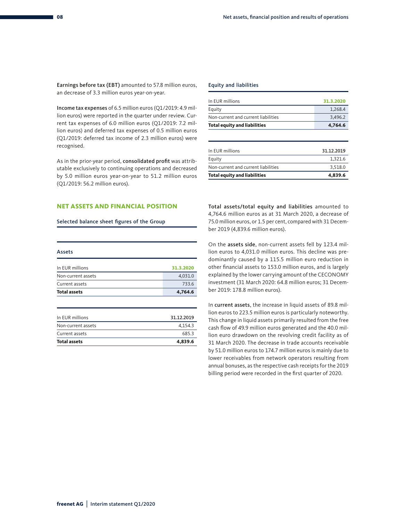Earnings before tax (EBT) amounted to 57.8 million euros, an decrease of 3.3 million euros year-on-year.

Income tax expenses of 6.5 million euros (Q1/2019: 4.9 million euros) were reported in the quarter under review. Current tax expenses of 6.0 million euros (Q1/2019: 7.2 million euros) and deferred tax expenses of 0.5 million euros (Q1/2019: deferred tax income of 2.3 million euros) were recognised.

As in the prior-year period, consolidated profit was attributable exclusively to continuing operations and decreased by 5.0 million euros year-on-year to 51.2 million euros (Q1/2019: 56.2 million euros).

#### **NET ASSETS AND FINANCIAL POSITION**

#### Selected balance sheet figures of the Group

| Assets              |           |
|---------------------|-----------|
| In EUR millions     | 31.3.2020 |
| Non-current assets  | 4,031.0   |
| Current assets      | 733.6     |
| <b>Total assets</b> | 4,764.6   |

| <b>Total assets</b> | 4.839.6    |
|---------------------|------------|
| Current assets      | 685.3      |
| Non-current assets  | 4,154.3    |
| In EUR millions     | 31.12.2019 |
|                     |            |

#### Equity and liabilities

| In EUR millions                     | 31.3.2020 |
|-------------------------------------|-----------|
| Equity                              | 1.268.4   |
| Non-current and current liabilities | 3.496.2   |
| <b>Total equity and liabilities</b> | 4,764.6   |

| <b>Total equity and liabilities</b> | 4,839.6    |
|-------------------------------------|------------|
| Non-current and current liabilities | 3.518.0    |
| Equity                              | 1.321.6    |
| In EUR millions                     | 31.12.2019 |
|                                     |            |

Total assets/total equity and liabilities amounted to 4,764.6 million euros as at 31 March 2020, a decrease of 75.0 million euros, or 1.5 per cent, compared with 31 December 2019 (4,839.6 million euros).

On the assets side, non-current assets fell by 123.4 million euros to 4,031.0 million euros. This decline was predominantly caused by a 115.5 million euro reduction in other financial assets to 153.0 million euros, and is largely explained by the lower carrying amount of the CECONOMY investment (31 March 2020: 64.8 million euros; 31 December 2019: 178.8 million euros).

In current assets, the increase in liquid assets of 89.8 million euros to 223.5 million euros is particularly noteworthy. This change in liquid assets primarily resulted from the free cash flow of 49.9 million euros generated and the 40.0 million euro drawdown on the revolving credit facility as of 31 March 2020. The decrease in trade accounts receivable by 51.0 million euros to 174.7 million euros is mainly due to lower receivables from network operators resulting from annual bonuses, as the respective cash receipts for the 2019 billing period were recorded in the first quarter of 2020.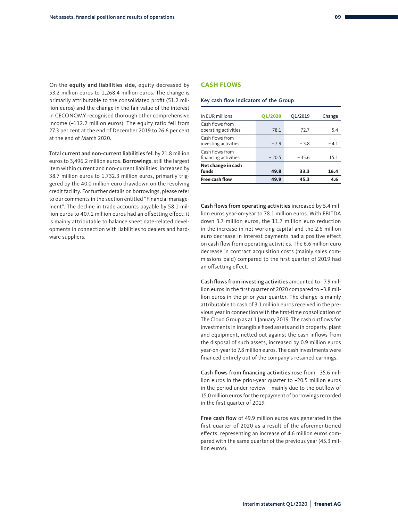<span id="page-10-0"></span>On the equity and liabilities side, equity decreased by 53.2 million euros to 1,268.4 million euros. The change is primarily attributable to the consolidated profit (51.2 million euros) and the change in the fair value of the interest in CECONOMY recognised thorough other comprehensive income (–112.2 million euros). The equity ratio fell from 27.3 per cent at the end of December 2019 to 26.6 per cent at the end of March 2020.

Total current and non-current liabilities fell by 21.8 million euros to 3,496.2 million euros. Borrowings, still the largest item within current and non-current liabilities, increased by 38.7 million euros to 1,732.3 million euros, primarily triggered by the 40.0 million euro drawdown on the revolving credit facility. For further details on borrowings, please refer to our comments in the section entitled "Financial management". The decline in trade accounts payable by 58.1 million euros to 407.1 million euros had an offsetting effect; it is mainly attributable to balance sheet date-related developments in connection with liabilities to dealers and hardware suppliers.

#### **CASH FLOWS**

#### Key cash flow indicators of the Group

| In EUR millions                         | <b>Q1/2020</b> | Q1/2019 | Change |
|-----------------------------------------|----------------|---------|--------|
| Cash flows from<br>operating activities | 78.1           | 72.7    | 5.4    |
| Cash flows from<br>investing activities | $-7.9$         | $-3.8$  | $-4.1$ |
| Cash flows from<br>financing activities | $-20.5$        | $-35.6$ | 15.1   |
| Net change in cash<br>funds             | 49.8           | 33.3    | 16.4   |
| <b>Free cash flow</b>                   | 49.9           | 45.3    | 4.6    |

Cash flows from operating activities increased by 5.4 million euros year-on-year to 78.1 million euros. With EBITDA down 3.7 million euros, the 11.7 million euro reduction in the increase in net working capital and the 2.6 million euro decrease in interest payments had a positive effect on cash flow from operating activities. The 6.6 million euro decrease in contract acquisition costs (mainly sales commissions paid) compared to the first quarter of 2019 had an offsetting effect.

Cash flows from investing activities amounted to –7.9 million euros in the first quarter of 2020 compared to –3.8 million euros in the prior-year quarter. The change is mainly attributable to cash of 3.1 million euros received in the previous year in connection with the first-time consolidation of The Cloud Group as at 1 January 2019. The cash outflows for investments in intangible fixed assets and in property, plant and equipment, netted out against the cash inflows from the disposal of such assets, increased by 0.9 million euros year-on-year to 7.8 million euros. The cash investments were financed entirely out of the company's retained earnings.

Cash flows from financing activities rose from –35.6 million euros in the prior-year quarter to –20.5 million euros in the period under review – mainly due to the outflow of 15.0 million euros for the repayment of borrowings recorded in the first quarter of 2019.

Free cash flow of 49.9 million euros was generated in the first quarter of 2020 as a result of the aforementioned effects, representing an increase of 4.6 million euros compared with the same quarter of the previous year (45.3 million euros).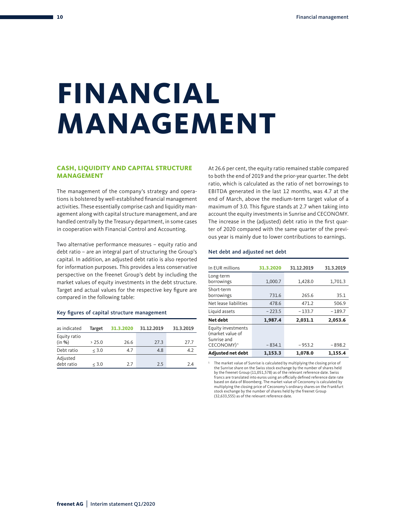### <span id="page-11-0"></span>**FINANCIAL MANAGEMENT**

#### **CASH, LIQUIDITY AND CAPITAL STRUCTURE MANAGEMENT**

The management of the company's strategy and operations is bolstered by well-established financial management activities. These essentially comprise cash and liquidity management along with capital structure management, and are handled centrally by the Treasury department, in some cases in cooperation with Financial Control and Accounting.

Two alternative performance measures – equity ratio and debt ratio – are an integral part of structuring the Group's capital. In addition, an adjusted debt ratio is also reported for information purposes. This provides a less conservative perspective on the freenet Group's debt by including the market values of equity investments in the debt structure. Target and actual values for the respective key figure are compared in the following table:

#### Key figures of capital structure management

| as indicated           | Target | 31.3.2020 | 31.12.2019 | 31.3.2019 |
|------------------------|--------|-----------|------------|-----------|
| Equity ratio<br>(in %) | > 25.0 | 26.6      | 27.3       | 27.7      |
| Debt ratio             | < 3.0  | 4.7       | 4.8        | 4.2       |
| Adjusted<br>debt ratio | < 3.0  | 2.7       | 2.5        | 2.4       |

At 26.6 per cent, the equity ratio remained stable compared to both the end of 2019 and the prior-year quarter. The debt ratio, which is calculated as the ratio of net borrowings to EBITDA generated in the last 12 months, was 4.7 at the end of March, above the medium-term target value of a maximum of 3.0. This figure stands at 2.7 when taking into account the equity investments in Sunrise and CECONOMY. The increase in the (adjusted) debt ratio in the first quarter of 2020 compared with the same quarter of the previous year is mainly due to lower contributions to earnings.

#### Net debt and adjusted net debt

1

| In EUR millions                                                                 | 31.3.2020 | 31.12.2019 | 31.3.2019 |
|---------------------------------------------------------------------------------|-----------|------------|-----------|
| Long-term<br>borrowings                                                         | 1,000.7   | 1,428.0    | 1,701.3   |
| Short-term<br>borrowings                                                        | 731.6     | 265.6      | 35.1      |
| Net lease liabilities                                                           | 478.6     | 471.2      | 506.9     |
| Liquid assets                                                                   | $-223.5$  | $-133.7$   | $-189.7$  |
| Net debt                                                                        | 1,987.4   | 2,031.1    | 2,053.6   |
| Equity investments<br>(market value of<br>Sunrise and<br>CECONOMY) <sup>1</sup> | $-834.1$  | $-953.2$   | $-898.2$  |
| <b>Adjusted net debt</b>                                                        | 1.153.3   | 1.078.0    | 1.155.4   |

 The market value of Sunrise is calculated by multiplying the closing price of the Sunrise share on the Swiss stock exchange by the number of shares held by the freenet Group (11,051,578) as of the relevant reference date. Swiss<br>francs are translated into euros using an officially defined reference date rate<br>based on data of Bloomberg. The market value of Ceconomy is calcul multiplying the closing price of Ceconomy's ordinary shares on the Frankfurt stock exchange by the number of shares held by the freenet Group (32,633,555) as of the relevant reference date.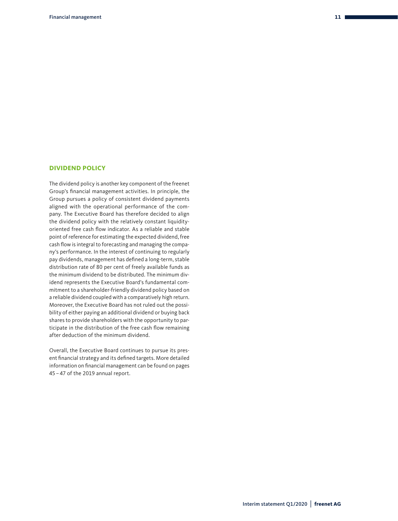#### <span id="page-12-0"></span>**DIVIDEND POLICY**

The dividend policy is another key component of the freenet Group's financial management activities. In principle, the Group pursues a policy of consistent dividend payments aligned with the operational performance of the company. The Executive Board has therefore decided to align the dividend policy with the relatively constant liquidityoriented free cash flow indicator. As a reliable and stable point of reference for estimating the expected dividend, free cash flow is integral to forecasting and managing the company's performance. In the interest of continuing to regularly pay dividends, management has defined a long-term, stable distribution rate of 80 per cent of freely available funds as the minimum dividend to be distributed. The minimum dividend represents the Executive Board's fundamental commitment to a shareholder-friendly dividend policy based on a reliable dividend coupled with a comparatively high return. Moreover, the Executive Board has not ruled out the possibility of either paying an additional dividend or buying back shares to provide shareholders with the opportunity to participate in the distribution of the free cash flow remaining after deduction of the minimum dividend.

Overall, the Executive Board continues to pursue its present financial strategy and its defined targets. More detailed information on financial management can be found on pages 45 – 47 of the 2019 annual report.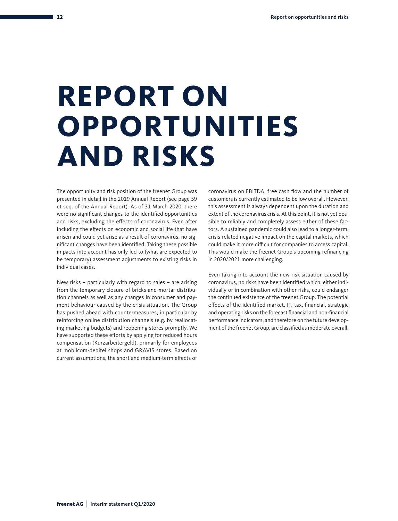# **REPORT ON OPPORTUNITIES AND RISKS**

The opportunity and risk position of the freenet Group was presented in detail in the 2019 Annual Report (see page 59 et seq. of the Annual Report). As of 31 March 2020, there were no significant changes to the identified opportunities and risks, excluding the effects of coronavirus. Even after including the effects on economic and social life that have arisen and could yet arise as a result of coronavirus, no significant changes have been identified. Taking these possible impacts into account has only led to (what are expected to be temporary) assessment adjustments to existing risks in individual cases.

New risks – particularly with regard to sales – are arising from the temporary closure of bricks-and-mortar distribution channels as well as any changes in consumer and payment behaviour caused by the crisis situation. The Group has pushed ahead with countermeasures, in particular by reinforcing online distribution channels (e.g. by reallocating marketing budgets) and reopening stores promptly. We have supported these efforts by applying for reduced hours compensation (Kurzarbeitergeld), primarily for employees at mobilcom-debitel shops and GRAVIS stores. Based on current assumptions, the short and medium-term effects of

coronavirus on EBITDA, free cash flow and the number of customers is currently estimated to be low overall. However, this assessment is always dependent upon the duration and extent of the coronavirus crisis. At this point, it is not yet possible to reliably and completely assess either of these factors. A sustained pandemic could also lead to a longer-term, crisis-related negative impact on the capital markets, which could make it more difficult for companies to access capital. This would make the freenet Group's upcoming refinancing in 2020/2021 more challenging.

Even taking into account the new risk situation caused by coronavirus, no risks have been identified which, either individually or in combination with other risks, could endanger the continued existence of the freenet Group. The potential effects of the identified market, IT, tax, financial, strategic and operating risks on the forecast financial and non-financial performance indicators, and therefore on the future development of the freenet Group, are classified as moderate overall.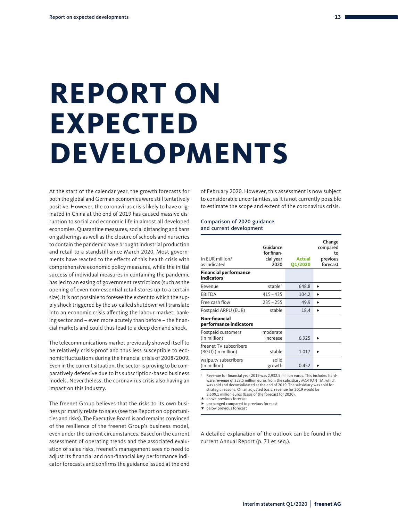# **REPORT ON EXPECTED DEVELOPMENTS**

At the start of the calendar year, the growth forecasts for both the global and German economies were still tentatively positive. However, the coronavirus crisis likely to have originated in China at the end of 2019 has caused massive disruption to social and economic life in almost all developed economies. Quarantine measures, social distancing and bans on gatherings as well as the closure of schools and nurseries to contain the pandemic have brought industrial production and retail to a standstill since March 2020. Most governments have reacted to the effects of this health crisis with comprehensive economic policy measures, while the initial success of individual measures in containing the pandemic has led to an easing of government restrictions (such as the opening of even non-essential retail stores up to a certain size). It is not possible to foresee the extent to which the supply shock triggered by the so-called shutdown will translate into an economic crisis affecting the labour market, banking sector and – even more acutely than before – the financial markets and could thus lead to a deep demand shock.

The telecommunications market previously showed itself to be relatively crisis-proof and thus less susceptible to economic fluctuations during the financial crisis of 2008/2009. Even in the current situation, the sector is proving to be comparatively defensive due to its subscription-based business models. Nevertheless, the coronavirus crisis also having an impact on this industry.

The freenet Group believes that the risks to its own business primarily relate to sales (see the Report on opportunities and risks). The Executive Board is and remains convinced of the resilience of the freenet Group's business model, even under the current circumstances. Based on the current assessment of operating trends and the associated evaluation of sales risks, freenet's management sees no need to adjust its financial and non-financial key performance indicator forecasts and confirms the guidance issued at the end

of February 2020. However, this assessment is now subject to considerable uncertainties, as it is not currently possible to estimate the scope and extent of the coronavirus crisis.

#### Comparison of 2020 guidance and current development

| In EUR million/<br>as indicated                   | Guidance<br>for finan-<br>cial year<br>2020 | <b>Actual</b><br><b>Q1/2020</b> | Change<br>compared<br>to<br>previous<br>forecast |
|---------------------------------------------------|---------------------------------------------|---------------------------------|--------------------------------------------------|
| <b>Financial performance</b><br><b>indicators</b> |                                             |                                 |                                                  |
| Revenue                                           | stable <sup>1</sup>                         | 648.8                           | ▶                                                |
| EBITDA                                            | $415 - 435$                                 | 104.2                           | ь                                                |
| Free cash flow                                    | $235 - 255$                                 | 49.9                            | ь                                                |
| Postpaid ARPU (EUR)                               | stable                                      | 18.4                            | ь                                                |
| Non-financial<br>performance indicators           |                                             |                                 |                                                  |
| Postpaid customers<br>(in million)                | moderate<br>increase                        | 6.925                           |                                                  |
| freenet TV subscribers<br>(RGU) (in million)      | stable                                      | 1.017                           |                                                  |
| waipu.tv subscribers<br>(in million)              | solid<br>growth                             | 0.452                           |                                                  |

1 Revenue for financial year 2019 was 2,932.5 million euros. This included hardware revenue of 323.5 million euros from the subsidiary MOTION TM, which was sold and deconsolidated at the end of 2019. The subsidiary was sold for strategic reasons. On an adjusted basis, revenue for 2019 would be 2,609.1 million euros (basis of the forecast for 2020).

- **A** above previous forecast
- ▶ unchanged compared to previous forecast<br>▼ below previous forecast
- 

A detailed explanation of the outlook can be found in the current Annual Report (p. 71 et seq.).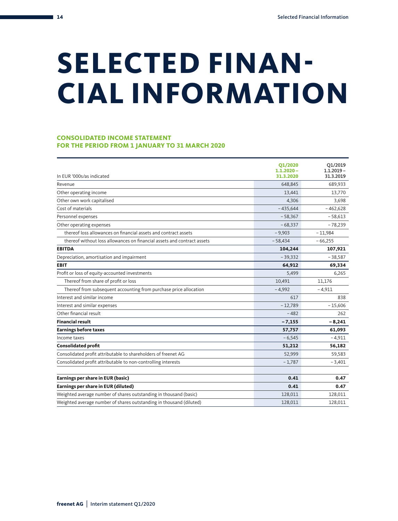# <span id="page-15-0"></span>**SELECTED FINAN-CIAL INFORMATION**

#### **CONSOLIDATED INCOME STATEMENT FOR THE PERIOD FROM 1 JANUARY TO 31 MARCH 2020**

| In EUR '000s/as indicated                                               | Q1/2020<br>$1.1.2020 -$<br>31.3.2020 | Q1/2019<br>$1.1.2019 -$<br>31.3.2019 |
|-------------------------------------------------------------------------|--------------------------------------|--------------------------------------|
| Revenue                                                                 | 648,845                              | 689,933                              |
| Other operating income                                                  | 13,441                               | 13,770                               |
| Other own work capitalised                                              | 4,306                                | 3,698                                |
| Cost of materials                                                       | $-435,644$                           | $-462,628$                           |
| Personnel expenses                                                      | $-58,367$                            | $-58,613$                            |
| Other operating expenses                                                | $-68,337$                            | $-78,239$                            |
| thereof loss allowances on financial assets and contract assets         | $-9,903$                             | $-11,984$                            |
| thereof without loss allowances on financial assets and contract assets | $-58,434$                            | $-66,255$                            |
| <b>EBITDA</b>                                                           | 104,244                              | 107,921                              |
| Depreciation, amortisation and impairment                               | $-39,332$                            | $-38,587$                            |
| <b>EBIT</b>                                                             | 64,912                               | 69,334                               |
| Profit or loss of equity-accounted investments                          | 5,499                                | 6,265                                |
| Thereof from share of profit or loss                                    | 10,491                               | 11,176                               |
| Thereof from subsequent accounting from purchase price allocation       | $-4.992$                             | $-4,911$                             |
| Interest and similar income                                             | 617                                  | 838                                  |
| Interest and similar expenses                                           | $-12,789$                            | $-15,606$                            |
| Other financial result                                                  | $-482$                               | 262                                  |
| <b>Financial result</b>                                                 | $-7,155$                             | $-8,241$                             |
| <b>Earnings before taxes</b>                                            | 57,757                               | 61,093                               |
| Income taxes                                                            | $-6,545$                             | $-4,911$                             |
| <b>Consolidated profit</b>                                              | 51,212                               | 56,182                               |
| Consolidated profit attributable to shareholders of freenet AG          | 52,999                               | 59,583                               |
| Consolidated profit attributable to non-controlling interests           | $-1,787$                             | $-3,401$                             |
| Earnings per share in EUR (basic)                                       | 0.41                                 | 0.47                                 |
| Earnings per share in EUR (diluted)                                     | 0.41                                 | 0.47                                 |
| Weighted average number of shares outstanding in thousand (basic)       | 128,011                              | 128,011                              |
| Weighted average number of shares outstanding in thousand (diluted)     | 128,011                              | 128,011                              |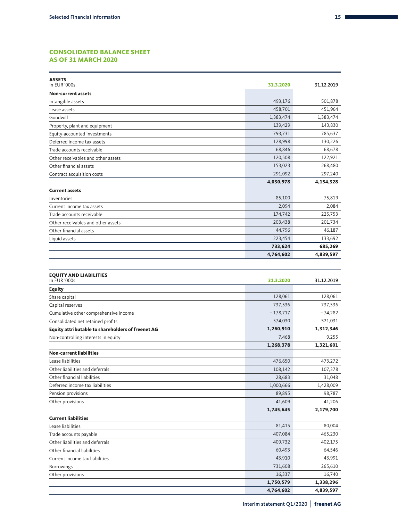#### **CONSOLIDATED BALANCE SHEET AS OF 31 MARCH 2020**

| <b>ASSETS</b><br>In EUR '000s                     | 31.3.2020  | 31.12.2019 |
|---------------------------------------------------|------------|------------|
| <b>Non-current assets</b>                         |            |            |
| Intangible assets                                 | 493,176    | 501,878    |
| Lease assets                                      | 458,701    | 451,964    |
| Goodwill                                          | 1,383,474  | 1,383,474  |
| Property, plant and equipment                     | 139,429    | 143,830    |
| Equity-accounted investments                      | 793,731    | 785,637    |
| Deferred income tax assets                        | 128,998    | 130,226    |
| Trade accounts receivable                         | 68,846     | 68,678     |
| Other receivables and other assets                | 120,508    | 122,921    |
| Other financial assets                            | 153,023    | 268,480    |
| Contract acquisition costs                        | 291,092    | 297,240    |
|                                                   | 4,030,978  | 4,154,328  |
| <b>Current assets</b>                             |            |            |
| Inventories                                       | 85,100     | 75,819     |
| Current income tax assets                         | 2,094      | 2,084      |
| Trade accounts receivable                         | 174,742    | 225,753    |
| Other receivables and other assets                | 203,438    | 201,734    |
| Other financial assets                            | 44,796     | 46,187     |
| Liquid assets                                     | 223,454    | 133,692    |
|                                                   | 733,624    | 685,269    |
|                                                   | 4,764,602  | 4,839,597  |
|                                                   |            |            |
| <b>EQUITY AND LIABILITIES</b><br>In EUR '000s     | 31.3.2020  | 31.12.2019 |
| <b>Equity</b>                                     |            |            |
| Share capital                                     | 128,061    | 128,061    |
| Capital reserves                                  | 737,536    | 737,536    |
| Cumulative other comprehensive income             | $-178,717$ | $-74,282$  |
| Consolidated net retained profits                 | 574,030    | 521,031    |
| Equity attributable to shareholders of freenet AG | 1,260,910  | 1,312,346  |
| Non-controlling interests in equity               | 7,468      | 9,255      |
|                                                   | 1,268,378  | 1,321,601  |
| <b>Non-current liabilities</b>                    |            |            |
| Lease liabilities                                 | 476,650    | 473,272    |
| Other liabilities and deferrals                   | 108,142    | 107,378    |
| Other financial liabilities                       | 28,683     | 31,048     |
| Deferred income tax liabilities                   | 1,000,666  | 1,428,009  |
| Pension provisions                                | 89,895     | 98,787     |
| Other provisions                                  | 41,609     | 41,206     |
|                                                   | 1,745,645  | 2,179,700  |
| <b>Current liabilities</b>                        |            |            |
| Lease liabilities                                 | 81,415     | 80,004     |
| Trade accounts payable                            | 407,084    | 465,230    |
| Other liabilities and deferrals                   | 409,732    | 402,175    |
| Other financial liabilities                       | 60,493     | 64,546     |
| Current income tax liabilities                    | 43,910     | 43,991     |
| <b>Borrowings</b>                                 | 731,608    | 265,610    |
| Other provisions                                  | 16,337     | 16,740     |
|                                                   | 1,750,579  | 1,338,296  |
|                                                   | 4,764,602  | 4,839,597  |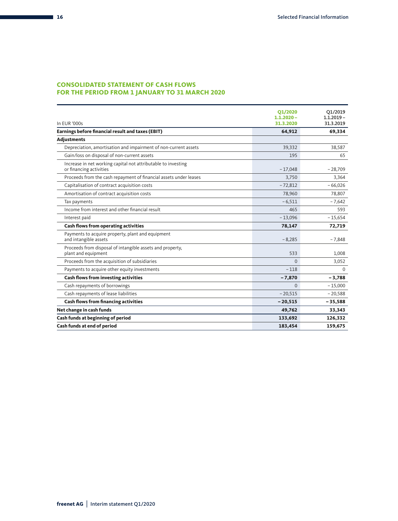#### **CONSOLIDATED STATEMENT OF CASH FLOWS FOR THE PERIOD FROM 1 JANUARY TO 31 MARCH 2020**

| In EUR '000s                                                                             | Q1/2020<br>$1.1.2020 -$<br>31.3.2020 | Q1/2019<br>$1.1.2019 -$<br>31.3.2019 |
|------------------------------------------------------------------------------------------|--------------------------------------|--------------------------------------|
| Earnings before financial result and taxes (EBIT)                                        | 64,912                               | 69,334                               |
| <b>Adjustments</b>                                                                       |                                      |                                      |
| Depreciation, amortisation and impairment of non-current assets                          | 39,332                               | 38,587                               |
| Gain/loss on disposal of non-current assets                                              | 195                                  | 65                                   |
| Increase in net working capital not attributable to investing<br>or financing activities | $-17,048$                            | $-28,709$                            |
| Proceeds from the cash repayment of financial assets under leases                        | 3,750                                | 3,364                                |
| Capitalisation of contract acquisition costs                                             | $-72,812$                            | $-66,026$                            |
| Amortisation of contract acquisition costs                                               | 78,960                               | 78,807                               |
| Tax payments                                                                             | $-6,511$                             | $-7,642$                             |
| Income from interest and other financial result                                          | 465                                  | 593                                  |
| Interest paid                                                                            | $-13,096$                            | $-15,654$                            |
| <b>Cash flows from operating activities</b>                                              | 78,147                               | 72,719                               |
| Payments to acquire property, plant and equipment<br>and intangible assets               | $-8,285$                             | $-7,848$                             |
| Proceeds from disposal of intangible assets and property,<br>plant and equipment         | 533                                  | 1.008                                |
| Proceeds from the acquisition of subsidiaries                                            | $\Omega$                             | 3,052                                |
| Payments to acquire other equity investments                                             | $-118$                               | $\Omega$                             |
| Cash flows from investing activities                                                     | $-7,870$                             | $-3,788$                             |
| Cash repayments of borrowings                                                            | $\Omega$                             | $-15,000$                            |
| Cash repayments of lease liabilities                                                     | $-20,515$                            | $-20,588$                            |
| <b>Cash flows from financing activities</b>                                              | $-20,515$                            | $-35,588$                            |
| Net change in cash funds                                                                 | 49,762                               | 33,343                               |
| Cash funds at beginning of period                                                        | 133,692                              | 126,332                              |
| Cash funds at end of period                                                              | 183,454                              | 159,675                              |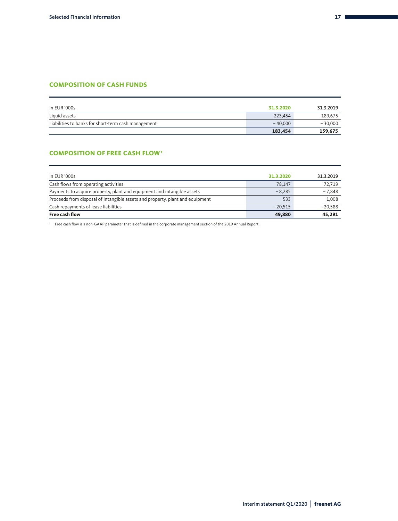#### **COMPOSITION OF CASH FUNDS**

| In EUR '000s                                        | 31.3.2020 | 31.3.2019 |
|-----------------------------------------------------|-----------|-----------|
| Liquid assets                                       | 223.454   | 189,675   |
| Liabilities to banks for short-term cash management | $-40,000$ | $-30,000$ |
|                                                     | 183,454   | 159,675   |

#### **COMPOSITION OF FREE CASH FLOW1**

| <b>Free cash flow</b>                                                         | 49,880    | 45,291    |
|-------------------------------------------------------------------------------|-----------|-----------|
| Cash repayments of lease liabilities                                          | $-20.515$ | $-20.588$ |
| Proceeds from disposal of intangible assets and property, plant and equipment | 533       | 1.008     |
| Payments to acquire property, plant and equipment and intangible assets       | $-8.285$  | $-7,848$  |
| Cash flows from operating activities                                          | 78,147    | 72,719    |
| In EUR '000s                                                                  | 31.3.2020 | 31.3.2019 |
|                                                                               |           |           |

1 Free cash flow is a non-GAAP parameter that is defined in the corporate management section of the 2019 Annual Report.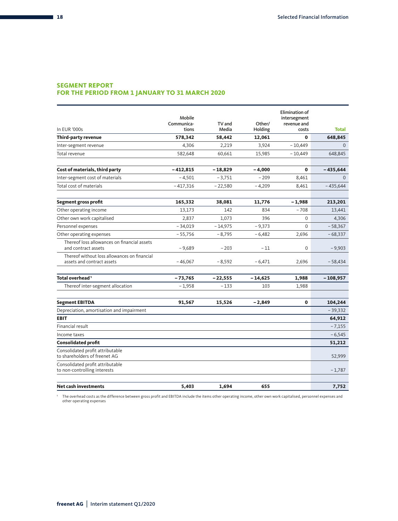#### **SEGMENT REPORT**

#### **FOR THE PERIOD FROM 1 JANUARY TO 31 MARCH 2020**

| In EUR '000s                                                               | Mobile<br>Communica-<br>tions | TV and<br>Media | Other/<br>Holding | <b>Elimination of</b><br>intersegment<br>revenue and<br>costs | <b>Total</b> |
|----------------------------------------------------------------------------|-------------------------------|-----------------|-------------------|---------------------------------------------------------------|--------------|
| Third-party revenue                                                        | 578,342                       | 58,442          | 12,061            | 0                                                             | 648,845      |
| Inter-segment revenue                                                      | 4,306                         | 2,219           | 3,924             | $-10,449$                                                     | $\Omega$     |
| Total revenue                                                              | 582,648                       | 60,661          | 15,985            | $-10,449$                                                     | 648,845      |
| Cost of materials, third party                                             | - 412,815                     | $-18,829$       | $-4,000$          | 0                                                             | $-435,644$   |
| Inter-segment cost of materials                                            | $-4,501$                      | $-3,751$        | $-209$            | 8,461                                                         | $\Omega$     |
| Total cost of materials                                                    | $-417,316$                    | $-22,580$       | $-4,209$          | 8,461                                                         | $-435,644$   |
| <b>Segment gross profit</b>                                                | 165,332                       | 38,081          | 11,776            | $-1,988$                                                      | 213,201      |
| Other operating income                                                     | 13,173                        | 142             | 834               | $-708$                                                        | 13,441       |
| Other own work capitalised                                                 | 2,837                         | 1,073           | 396               | $\Omega$                                                      | 4,306        |
| Personnel expenses                                                         | $-34,019$                     | $-14,975$       | $-9,373$          | $\Omega$                                                      | $-58,367$    |
| Other operating expenses                                                   | $-55,756$                     | $-8,795$        | $-6,482$          | 2,696                                                         | $-68,337$    |
| Thereof loss allowances on financial assets<br>and contract assets         | $-9,689$                      | $-203$          | $-11$             | 0                                                             | $-9,903$     |
| Thereof without loss allowances on financial<br>assets and contract assets | $-46,067$                     | $-8,592$        | $-6,471$          | 2,696                                                         | $-58,434$    |
| Total overhead <sup>1</sup>                                                | $-73,765$                     | $-22,555$       | $-14,625$         | 1,988                                                         | $-108,957$   |
| Thereof inter-segment allocation                                           | $-1,958$                      | $-133$          | 103               | 1,988                                                         |              |
| <b>Segment EBITDA</b>                                                      | 91,567                        | 15,526          | $-2,849$          | $\mathbf{0}$                                                  | 104,244      |
| Depreciation, amortisation and impairment                                  |                               |                 |                   |                                                               | $-39,332$    |
| <b>EBIT</b>                                                                |                               |                 |                   |                                                               | 64,912       |
| Financial result                                                           |                               |                 |                   |                                                               | $-7,155$     |
| Income taxes                                                               |                               |                 |                   |                                                               | $-6,545$     |
| <b>Consolidated profit</b>                                                 |                               |                 |                   |                                                               | 51,212       |
| Consolidated profit attributable<br>to shareholders of freenet AG          |                               |                 |                   |                                                               | 52,999       |
| Consolidated profit attributable<br>to non-controlling interests           |                               |                 |                   |                                                               | $-1,787$     |
| <b>Net cash investments</b>                                                | 5,403                         | 1,694           | 655               |                                                               | 7,752        |

' The overhead costs as the difference between gross profit and EBITDA include the items other operating income, other own work capitalised, personnel expenses and<br>other operating expenses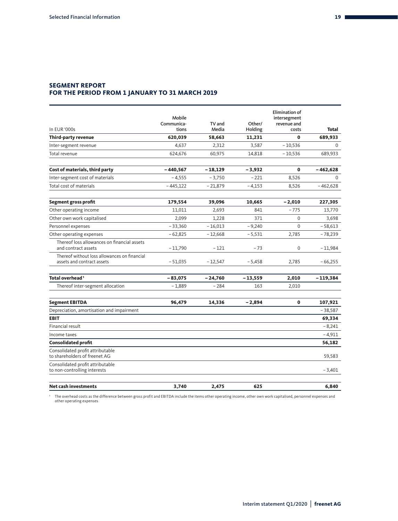#### **SEGMENT REPORT FOR THE PERIOD FROM 1 JANUARY TO 31 MARCH 2019**

| In EUR '000s                                                               | Mobile<br>Communica-<br>tions | TV and<br>Media | Other/<br>Holding | Elimination of<br>intersegment<br>revenue and<br>costs | Total       |
|----------------------------------------------------------------------------|-------------------------------|-----------------|-------------------|--------------------------------------------------------|-------------|
| Third-party revenue                                                        | 620,039                       | 58,663          | 11,231            | $\bf{0}$                                               | 689,933     |
| Inter-segment revenue                                                      | 4,637                         | 2,312           | 3,587             | $-10,536$                                              | $\mathbf 0$ |
| Total revenue                                                              | 624,676                       | 60,975          | 14,818            | $-10,536$                                              | 689,933     |
| Cost of materials, third party                                             | $-440,567$                    | $-18,129$       | $-3,932$          | $\mathbf 0$                                            | $-462,628$  |
| Inter-segment cost of materials                                            | $-4,555$                      | $-3,750$        | $-221$            | 8,526                                                  | $\Omega$    |
| Total cost of materials                                                    | $-445,122$                    | $-21,879$       | $-4,153$          | 8,526                                                  | $-462,628$  |
| <b>Segment gross profit</b>                                                | 179,554                       | 39,096          | 10,665            | $-2,010$                                               | 227,305     |
| Other operating income                                                     | 11,011                        | 2,693           | 841               | $-775$                                                 | 13,770      |
| Other own work capitalised                                                 | 2,099                         | 1,228           | 371               | $\mathbf 0$                                            | 3,698       |
| Personnel expenses                                                         | $-33,360$                     | $-16,013$       | $-9,240$          | $\Omega$                                               | $-58,613$   |
| Other operating expenses                                                   | $-62,825$                     | $-12,668$       | $-5,531$          | 2,785                                                  | $-78,239$   |
| Thereof loss allowances on financial assets<br>and contract assets         | $-11,790$                     | $-121$          | $-73$             | $\mathbf 0$                                            | $-11,984$   |
| Thereof without loss allowances on financial<br>assets and contract assets | $-51,035$                     | $-12,547$       | $-5,458$          | 2,785                                                  | $-66,255$   |
| Total overhead <sup>1</sup>                                                | $-83,075$                     | $-24,760$       | $-13,559$         | 2,010                                                  | $-119,384$  |
| Thereof inter-segment allocation                                           | $-1,889$                      | $-284$          | 163               | 2,010                                                  |             |
| <b>Segment EBITDA</b>                                                      | 96,479                        | 14,336          | $-2,894$          | $\mathbf 0$                                            | 107,921     |
| Depreciation, amortisation and impairment                                  |                               |                 |                   |                                                        | $-38,587$   |
| <b>EBIT</b>                                                                |                               |                 |                   |                                                        | 69,334      |
| Financial result                                                           |                               |                 |                   |                                                        | $-8,241$    |
| Income taxes                                                               |                               |                 |                   |                                                        | $-4,911$    |
| <b>Consolidated profit</b>                                                 |                               |                 |                   |                                                        | 56,182      |
| Consolidated profit attributable<br>to shareholders of freenet AG          |                               |                 |                   |                                                        | 59,583      |
| Consolidated profit attributable<br>to non-controlling interests           |                               |                 |                   |                                                        | $-3,401$    |
| <b>Net cash investments</b>                                                | 3,740                         | 2,475           | 625               |                                                        | 6,840       |

' The overhead costs as the difference between gross profit and EBITDA include the items other operating income, other own work capitalised, personnel expenses and<br>other operating expenses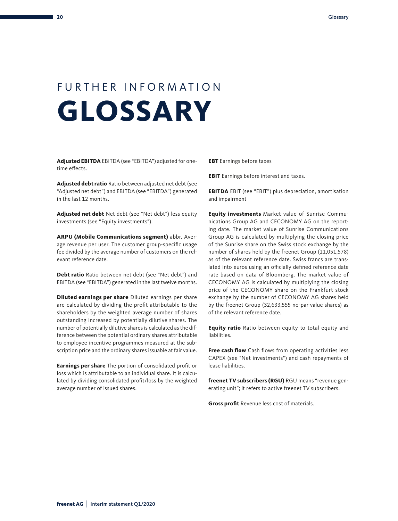### FURTHER INFORMATION **GLOSSARY**

**Adjusted EBITDA** EBITDA (see "EBITDA") adjusted for onetime effects.

**Adjusted debt ratio** Ratio between adjusted net debt (see "Adjusted net debt") and EBITDA (see "EBITDA") generated in the last 12 months.

**Adjusted net debt** Net debt (see "Net debt") less equity investments (see "Equity investments").

**ARPU (Mobile Communications segment)** abbr. Average revenue per user. The customer group-specific usage fee divided by the average number of customers on the relevant reference date.

**Debt ratio** Ratio between net debt (see "Net debt") and EBITDA (see "EBITDA") generated in the last twelve months.

**Diluted earnings per share** Diluted earnings per share are calculated by dividing the profit attributable to the shareholders by the weighted average number of shares outstanding increased by potentially dilutive shares. The number of potentially dilutive shares is calculated as the difference between the potential ordinary shares attributable to employee incentive programmes measured at the subscription price and the ordinary shares issuable at fair value.

**Earnings per share** The portion of consolidated profit or loss which is attributable to an individual share. It is calculated by dividing consolidated profit/loss by the weighted average number of issued shares.

**EBT** Earnings before taxes

**EBIT** Earnings before interest and taxes.

**EBITDA** EBIT (see "EBIT") plus depreciation, amortisation and impairment

**Equity investments** Market value of Sunrise Communications Group AG and CECONOMY AG on the reporting date. The market value of Sunrise Communications Group AG is calculated by multiplying the closing price of the Sunrise share on the Swiss stock exchange by the number of shares held by the freenet Group (11,051,578) as of the relevant reference date. Swiss francs are translated into euros using an officially defined reference date rate based on data of Bloomberg. The market value of CECONOMY AG is calculated by multiplying the closing price of the CECONOMY share on the Frankfurt stock exchange by the number of CECONOMY AG shares held by the freenet Group (32,633,555 no-par-value shares) as of the relevant reference date.

**Equity ratio** Ratio between equity to total equity and liabilities.

**Free cash flow** Cash flows from operating activities less CAPEX (see "Net investments") and cash repayments of lease liabilities.

**freenet TV subscribers (RGU)** RGU means "revenue generating unit"; it refers to active freenet TV subscribers.

**Gross profit** Revenue less cost of materials.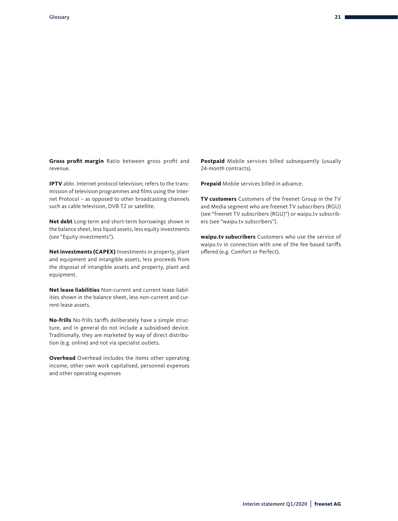**Gross profit margin** Ratio between gross profit and revenue.

**IPTV** abbr. Internet protocol television; refers to the transmission of television programmes and films using the Internet Protocol – as opposed to other broadcasting channels such as cable television, DVB-T2 or satellite.

**Net debt** Long-term and short-term borrowings shown in the balance sheet, less liquid assets, less equity investments (see "Equity investments").

**Net investments (CAPEX)** Investments in property, plant and equipment and intangible assets, less proceeds from the disposal of intangible assets and property, plant and equipment.

**Net lease liabilities** Non-current and current lease liabilities shown in the balance sheet, less non-current and current lease assets.

**No-frills** No-frills tariffs deliberately have a simple structure, and in general do not include a subsidised device. Traditionally, they are marketed by way of direct distribution (e.g. online) and not via specialist outlets.

**Overhead** Overhead includes the items other operating income, other own work capitalised, personnel expenses and other operating expenses

**Postpaid** Mobile services billed subsequently (usually 24-month contracts).

**Prepaid** Mobile services billed in advance.

**TV customers** Customers of the freenet Group in the TV and Media segment who are freenet TV subscribers (RGU) (see "freenet TV subscribers (RGU)") or waipu.tv subscribers (see "waipu.tv subscribers").

**waipu.tv subscribers** Customers who use the service of waipu.tv in connection with one of the fee-based tariffs offered (e.g. Comfort or Perfect).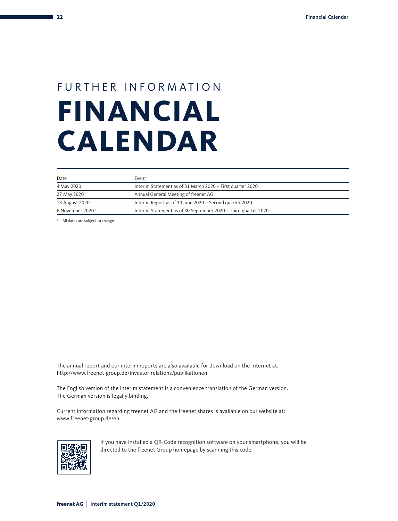### FURTHER INFORMATION **FINANCIAL CALENDAR**

| Date                         | Event                                                          |
|------------------------------|----------------------------------------------------------------|
| 4 May 2020                   | Interim Statement as of 31 March 2020 - First quarter 2020     |
| 27 May 2020 <sup>1</sup>     | Annual General Meeting of freenet AG                           |
| 13 August 2020 <sup>1</sup>  | Interim Report as of 30 June 2020 - Second quarter 2020        |
| 6 November 2020 <sup>1</sup> | Interim Statement as of 30 September 2020 - Third quarter 2020 |

1 All dates are subject to change.

The annual report and our interim reports are also available for download on the Internet at: http://www.freenet-group.de/investor-relations/publikationen

The English version of the interim statement is a convenience translation of the German version. The German version is legally binding.

Current information regarding freenet AG and the freenet shares is available on our website at: www.freenet-group.de/en.



If you have installed a QR-Code recognition software on your smartphone, you will be directed to the freenet Group homepage by scanning this code.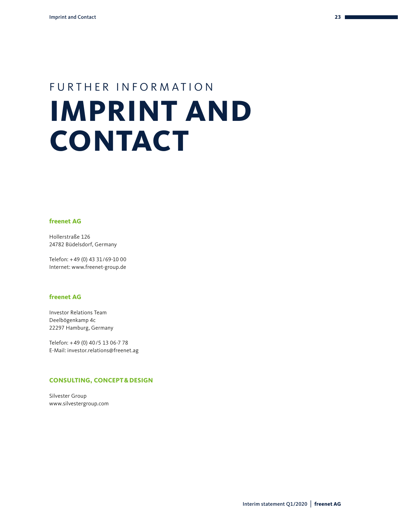### FURTHER INFORMATION **IMPRINT AND CONTACT**

#### **freenet AG**

Hollerstraße 126 24782 Büdelsdorf, Germany

Telefon: + 49 (0) 43 31/69-10 00 Internet: www.freenet-group.de

#### **freenet AG**

Investor Relations Team Deelbögenkamp 4c 22297 Hamburg, Germany

Telefon: + 49 (0) 40/5 13 06-7 78 E-Mail: investor.relations@freenet.ag

#### **CONSULTING, CONCEPT&DESIGN**

Silvester Group www.silvestergroup.com